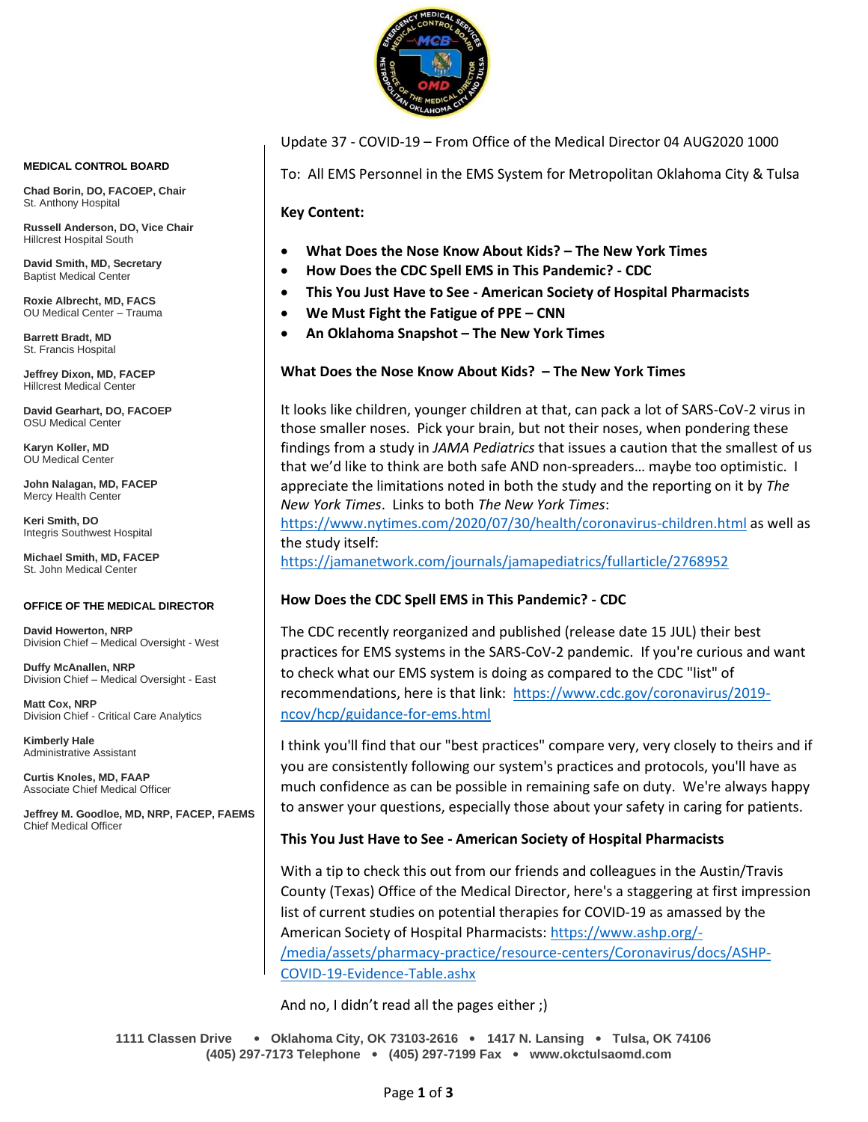

Update 37 - COVID-19 – From Office of the Medical Director 04 AUG2020 1000

To: All EMS Personnel in the EMS System for Metropolitan Oklahoma City & Tulsa

**Key Content:**

- **What Does the Nose Know About Kids? – The New York Times**
- **How Does the CDC Spell EMS in This Pandemic? - CDC**
- **This You Just Have to See - American Society of Hospital Pharmacists**
- **We Must Fight the Fatigue of PPE – CNN**
- **An Oklahoma Snapshot – The New York Times**

# **What Does the Nose Know About Kids? – The New York Times**

It looks like children, younger children at that, can pack a lot of SARS-CoV-2 virus in those smaller noses. Pick your brain, but not their noses, when pondering these findings from a study in *JAMA Pediatrics* that issues a caution that the smallest of us that we'd like to think are both safe AND non-spreaders… maybe too optimistic. I appreciate the limitations noted in both the study and the reporting on it by *The New York Times*. Links to both *The New York Times*:

<https://www.nytimes.com/2020/07/30/health/coronavirus-children.html> as well as the study itself:

<https://jamanetwork.com/journals/jamapediatrics/fullarticle/2768952>

# **How Does the CDC Spell EMS in This Pandemic? - CDC**

The CDC recently reorganized and published (release date 15 JUL) their best practices for EMS systems in the SARS-CoV-2 pandemic. If you're curious and want to check what our EMS system is doing as compared to the CDC "list" of recommendations, here is that link: [https://www.cdc.gov/coronavirus/2019](https://www.cdc.gov/coronavirus/2019-ncov/hcp/guidance-for-ems.html) [ncov/hcp/guidance-for-ems.html](https://www.cdc.gov/coronavirus/2019-ncov/hcp/guidance-for-ems.html)

I think you'll find that our "best practices" compare very, very closely to theirs and if you are consistently following our system's practices and protocols, you'll have as much confidence as can be possible in remaining safe on duty. We're always happy to answer your questions, especially those about your safety in caring for patients.

# **This You Just Have to See - American Society of Hospital Pharmacists**

With a tip to check this out from our friends and colleagues in the Austin/Travis County (Texas) Office of the Medical Director, here's a staggering at first impression list of current studies on potential therapies for COVID-19 as amassed by the American Society of Hospital Pharmacists: [https://www.ashp.org/-](https://www.ashp.org/-/media/assets/pharmacy-practice/resource-centers/Coronavirus/docs/ASHP-COVID-19-Evidence-Table.ashx) [/media/assets/pharmacy-practice/resource-centers/Coronavirus/docs/ASHP-](https://www.ashp.org/-/media/assets/pharmacy-practice/resource-centers/Coronavirus/docs/ASHP-COVID-19-Evidence-Table.ashx)[COVID-19-Evidence-Table.ashx](https://www.ashp.org/-/media/assets/pharmacy-practice/resource-centers/Coronavirus/docs/ASHP-COVID-19-Evidence-Table.ashx)

And no, I didn't read all the pages either ;)

**1111 Classen Drive** • **Oklahoma City, OK 73103-2616** • **1417 N. Lansing** • **Tulsa, OK 74106 (405) 297-7173 Telephone** • **(405) 297-7199 Fax** • **www.okctulsaomd.com**

#### **MEDICAL CONTROL BOARD**

**Chad Borin, DO, FACOEP, Chair**  St. Anthony Hospital

**Russell Anderson, DO, Vice Chair** Hillcrest Hospital South

**David Smith, MD, Secretary** Baptist Medical Center

**Roxie Albrecht, MD, FACS** OU Medical Center – Trauma

**Barrett Bradt, MD** St. Francis Hospital

**Jeffrey Dixon, MD, FACEP** Hillcrest Medical Center

**David Gearhart, DO, FACOEP** OSU Medical Center

**Karyn Koller, MD** OU Medical Center

**John Nalagan, MD, FACEP** Mercy Health Center

**Keri Smith, DO** Integris Southwest Hospital

**Michael Smith, MD, FACEP** St. John Medical Center

#### **OFFICE OF THE MEDICAL DIRECTOR**

**David Howerton, NRP** Division Chief – Medical Oversight - West

**Duffy McAnallen, NRP** Division Chief – Medical Oversight - East

**Matt Cox, NRP** Division Chief - Critical Care Analytics

**Kimberly Hale** Administrative Assistant

**Curtis Knoles, MD, FAAP** Associate Chief Medical Officer

**Jeffrey M. Goodloe, MD, NRP, FACEP, FAEMS** Chief Medical Officer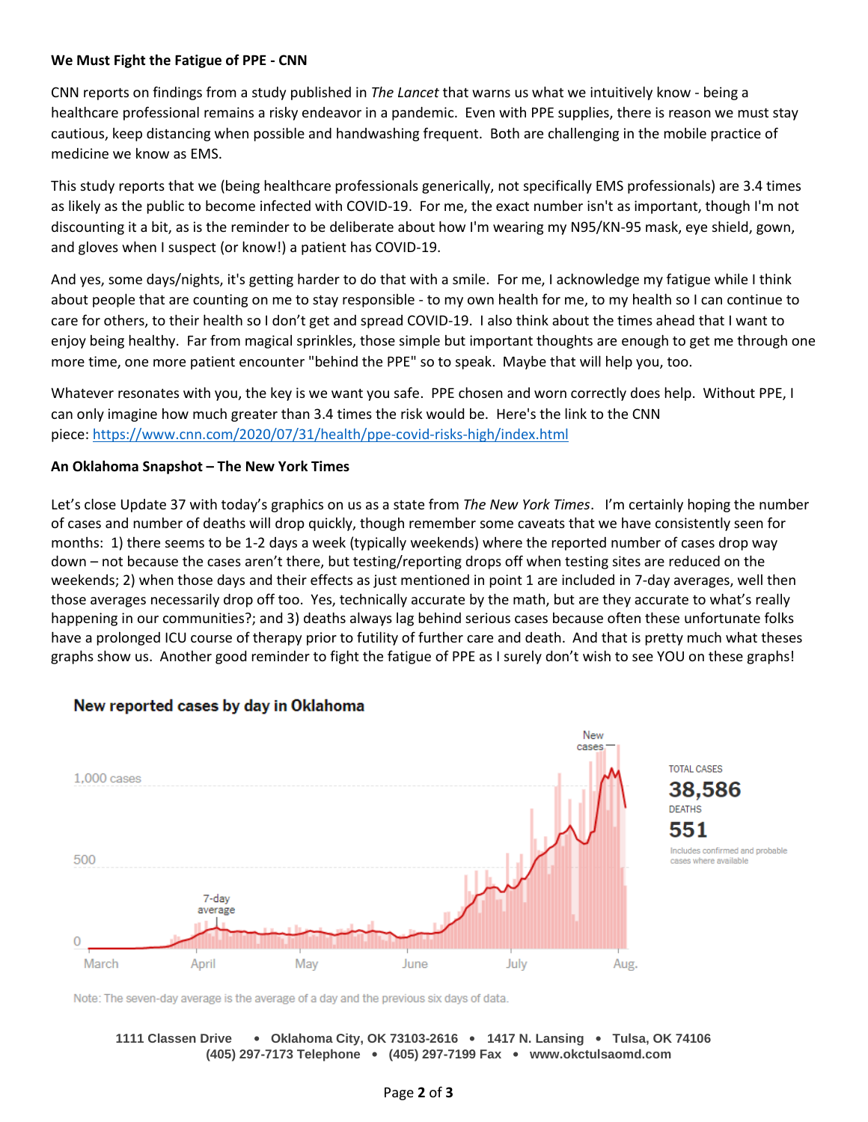## **We Must Fight the Fatigue of PPE - CNN**

CNN reports on findings from a study published in *The Lancet* that warns us what we intuitively know - being a healthcare professional remains a risky endeavor in a pandemic. Even with PPE supplies, there is reason we must stay cautious, keep distancing when possible and handwashing frequent. Both are challenging in the mobile practice of medicine we know as EMS.

This study reports that we (being healthcare professionals generically, not specifically EMS professionals) are 3.4 times as likely as the public to become infected with COVID-19. For me, the exact number isn't as important, though I'm not discounting it a bit, as is the reminder to be deliberate about how I'm wearing my N95/KN-95 mask, eye shield, gown, and gloves when I suspect (or know!) a patient has COVID-19.

And yes, some days/nights, it's getting harder to do that with a smile. For me, I acknowledge my fatigue while I think about people that are counting on me to stay responsible - to my own health for me, to my health so I can continue to care for others, to their health so I don't get and spread COVID-19. I also think about the times ahead that I want to enjoy being healthy. Far from magical sprinkles, those simple but important thoughts are enough to get me through one more time, one more patient encounter "behind the PPE" so to speak. Maybe that will help you, too.

Whatever resonates with you, the key is we want you safe. PPE chosen and worn correctly does help. Without PPE, I can only imagine how much greater than 3.4 times the risk would be. Here's the link to the CNN piece: <https://www.cnn.com/2020/07/31/health/ppe-covid-risks-high/index.html>

## **An Oklahoma Snapshot – The New York Times**

Let's close Update 37 with today's graphics on us as a state from *The New York Times*. I'm certainly hoping the number of cases and number of deaths will drop quickly, though remember some caveats that we have consistently seen for months: 1) there seems to be 1-2 days a week (typically weekends) where the reported number of cases drop way down – not because the cases aren't there, but testing/reporting drops off when testing sites are reduced on the weekends; 2) when those days and their effects as just mentioned in point 1 are included in 7-day averages, well then those averages necessarily drop off too. Yes, technically accurate by the math, but are they accurate to what's really happening in our communities?; and 3) deaths always lag behind serious cases because often these unfortunate folks have a prolonged ICU course of therapy prior to futility of further care and death. And that is pretty much what theses graphs show us. Another good reminder to fight the fatigue of PPE as I surely don't wish to see YOU on these graphs!



# New reported cases by day in Oklahoma

Note: The seven-day average is the average of a day and the previous six days of data.

### **1111 Classen Drive** • **Oklahoma City, OK 73103-2616** • **1417 N. Lansing** • **Tulsa, OK 74106 (405) 297-7173 Telephone** • **(405) 297-7199 Fax** • **www.okctulsaomd.com**